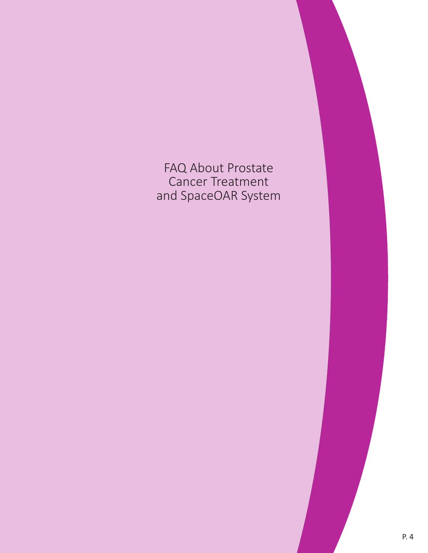# FAQ About Prostate Cancer Treatment and SpaceOAR System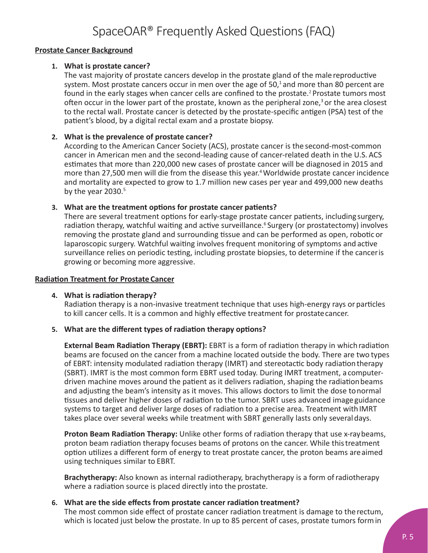# SpaceOAR® Frequently Asked Questions (FAQ)

# **Prostate Cancer Background**

## **1. What is prostate cancer?**

The vast majority of prostate cancers develop in the prostate gland of the male reproductive system. Most prostate cancers occur in men over the age of  $50<sup>1</sup>$  and more than 80 percent are found in the early stages when cancer cells are confined to the prostate.<sup>2</sup> Prostate tumors most often occur in the lower part of the prostate, known as the peripheral zone, $3$  or the area closest to the rectal wall. Prostate cancer is detected by the prostate-specific antigen (PSA) test of the patient's blood, by a digital rectal exam and a prostate biopsy.

# **2. What is the prevalence of prostate cancer?**

According to the American Cancer Society (ACS), prostate cancer is the second-most-common cancer in American men and the second-leading cause of cancer-related death in the U.S. ACS estimates that more than 220,000 new cases of prostate cancer will be diagnosed in 2015 and more than 27,500 men will die from the disease this year.<sup>4</sup> Worldwide prostate cancer incidence and mortality are expected to grow to 1.7 million new cases per year and 499,000 new deaths by the year 2030.<sup>5</sup>

## **3. What are the treatment options for prostate cancer patients?**

There are several treatment options for early-stage prostate cancer patients, including surgery, radiation therapy, watchful waiting and active surveillance.<sup>6</sup> Surgery (or prostatectomy) involves removing the prostate gland and surrounding tissue and can be performed as open, robotic or laparoscopic surgery. Watchful waiting involves frequent monitoring of symptoms and active surveillance relies on periodic testing, including prostate biopsies, to determine if the cancer is growing or becoming more aggressive.

#### **Radiation Treatment for Prostate Cancer**

#### **4. What is radiation therapy?**

Radiation therapy is a non-invasive treatment technique that uses high-energy rays or particles to kill cancer cells. It is a common and highly effective treatment for prostate cancer.

# **5. What are the different types of radiation therapy options?**

**External Beam Radiation Therapy (EBRT):** EBRT is a form of radiation therapy in which radiation beams are focused on the cancer from a machine located outside the body. There are two types of EBRT: intensity modulated radiation therapy (IMRT) and stereotactic body radiation therapy (SBRT). IMRT is the most common form EBRT used today. During IMRT treatment, a computerdriven machine moves around the patient as it delivers radiation, shaping the radiation beams and adjusting the beam's intensity as it moves. This allows doctors to limit the dose to normal tissues and deliver higher doses of radiation to the tumor. SBRT uses advanced image guidance systems to target and deliver large doses of radiation to a precise area. Treatment with IMRT takes place over several weeks while treatment with SBRT generally lasts only several days.

**Proton Beam Radiation Therapy:** Unlike other forms of radiation therapy that use x-ray beams, proton beam radiation therapy focuses beams of protons on the cancer. While this treatment option utilizes a different form of energy to treat prostate cancer, the proton beams are aimed using techniques similar to EBRT.

**Brachytherapy:** Also known as internal radiotherapy, brachytherapy is a form of radiotherapy where a radiation source is placed directly into the prostate.

#### **6. What are the side effects from prostate cancer radiation treatment?**

The most common side effect of prostate cancer radiation treatment is damage to the rectum, which is located just below the prostate. In up to 85 percent of cases, prostate tumors form in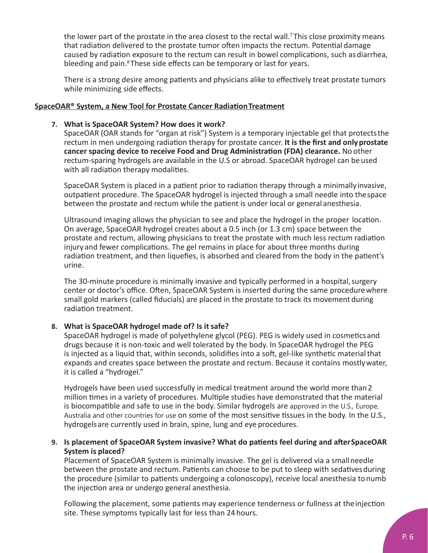the lower part of the prostate in the area closest to the rectal wall.<sup>7</sup> This close proximity means that radiation delivered to the prostate tumor often impacts the rectum. Potential damage caused by radiation exposure to the rectum can result in bowel complications, such as diarrhea, bleeding and pain.<sup>8</sup> These side effects can be temporary or last for years.

There is a strong desire among patients and physicians alike to effectively treat prostate tumors while minimizing side effects.

## **SpaceOAR® System, a New Tool for Prostate Cancer RadiationTreatment**

#### **7. What is SpaceOAR System? How does it work?**

SpaceOAR (OAR stands for "organ at risk") System is a temporary injectable gel that protects the rectum in men undergoing radiation therapy for prostate cancer. **It is the first and only prostate cancer spacing device to receive Food and Drug Administration (FDA) clearance.** No other rectum-sparing hydrogels are available in the U.S or abroad. SpaceOAR hydrogel can be used with all radiation therapy modalities.

SpaceOAR System is placed in a patient prior to radiation therapy through a minimally invasive, outpatient procedure. The SpaceOAR hydrogel is injected through a small needle into the space between the prostate and rectum while the patient is under local or general anesthesia.

Ultrasound imaging allows the physician to see and place the hydrogel in the proper location. On average, SpaceOAR hydrogel creates about a 0.5 inch (or 1.3 cm) space between the prostate and rectum, allowing physicians to treat the prostate with much less rectum radiation injury and fewer complications. The gel remains in place for about three months during radiation treatment, and then liquefies, is absorbed and cleared from the body in the patient's urine.

The 30-minute procedure is minimally invasive and typically performed in a hospital, surgery center or doctor's office. Often, SpaceOAR System is inserted during the same procedure where small gold markers (called fiducials) are placed in the prostate to track its movement during radiation treatment.

# **8. What is SpaceOAR hydrogel made of? Is it safe?**

SpaceOAR hydrogel is made of polyethylene glycol (PEG). PEG is widely used in cosmetics and drugs because it is non-toxic and well tolerated by the body. In SpaceOAR hydrogel the PEG is injected as a liquid that, within seconds, solidifies into a soft, gel-like synthetic material that expands and creates space between the prostate and rectum. Because it contains mostly water, it is called a "hydrogel."

Hydrogels have been used successfully in medical treatment around the world more than 2 million times in a variety of procedures. Multiple studies have demonstrated that the material is biocompatible and safe to use in the body. Similar hydrogels are approved in the U.S., Europe, Australia and other countries for use on some of the most sensitive tissues in the body. In the U.S., hydrogels are currently used in brain, spine, lung and eye procedures.

# **9. Is placement of SpaceOAR System invasive? What do patients feel during and after SpaceOAR System is placed?**

Placement of SpaceOAR System is minimally invasive. The gel is delivered via a small needle between the prostate and rectum. Patients can choose to be put to sleep with sedatives during the procedure (similar to patients undergoing a colonoscopy), receive local anesthesia to numb the injection area or undergo general anesthesia.

Following the placement, some patients may experience tenderness or fullness at the injection site. These symptoms typically last for less than 24 hours.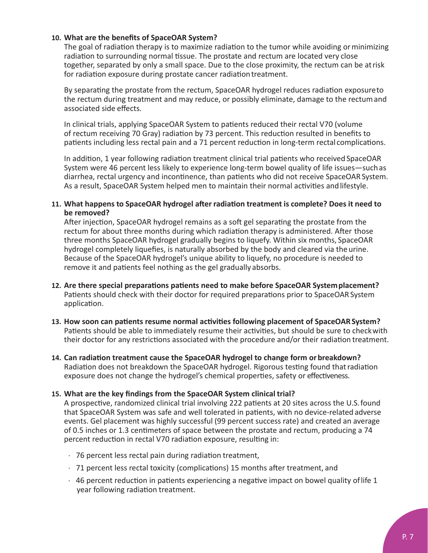# **10. What are the benefits of SpaceOAR System?**

The goal of radiation therapy is to maximize radiation to the tumor while avoiding or minimizing radiation to surrounding normal tissue. The prostate and rectum are located very close together, separated by only a small space. Due to the close proximity, the rectum can be at risk for radiation exposure during prostate cancer radiation treatment.

By separating the prostate from the rectum, SpaceOAR hydrogel reduces radiation exposure to the rectum during treatment and may reduce, or possibly eliminate, damage to the rectum and associated side effects.

In clinical trials, applying SpaceOAR System to patients reduced their rectal V70 (volume of rectum receiving 70 Gray) radiation by 73 percent. This reduction resulted in benefits to patients including less rectal pain and a 71 percent reduction in long-term rectal complications.

In addition, 1 year following radiation treatment clinical trial patients who received SpaceOAR System were 46 percent less likely to experience long-term bowel quality of life issues—such as diarrhea, rectal urgency and incontinence, than patients who did not receive SpaceOAR System. As a result, SpaceOAR System helped men to maintain their normal activities and lifestyle.

# **11. What happens to SpaceOAR hydrogel after radiation treatment is complete? Does it need to be removed?**

After injection, SpaceOAR hydrogel remains as a soft gel separating the prostate from the rectum for about three months during which radiation therapy is administered. After those three months SpaceOAR hydrogel gradually begins to liquefy. Within six months, SpaceOAR hydrogel completely liquefies, is naturally absorbed by the body and cleared via the urine. Because of the SpaceOAR hydrogel's unique ability to liquefy, no procedure is needed to remove it and patients feel nothing as the gel gradually absorbs.

- **12. Are there special preparations patients need to make before SpaceOAR System placement?** Patients should check with their doctor for required preparations prior to SpaceOAR System application.
- **13. How soon can patients resume normal activities following placement of SpaceOAR System?**  Patients should be able to immediately resume their activities, but should be sure to check with their doctor for any restrictions associated with the procedure and/or their radiation treatment.
- **14. Can radiation treatment cause the SpaceOAR hydrogel to change form or breakdown?**  Radiation does not breakdown the SpaceOAR hydrogel. Rigorous testing found that radiation exposure does not change the hydrogel's chemical properties, safety or effectiveness.

#### **15. What are the key findings from the SpaceOAR System clinical trial?**

A prospective, randomized clinical trial involving 222 patients at 20 sites across the U.S. found that SpaceOAR System was safe and well tolerated in patients, with no device-related adverse events. Gel placement was highly successful (99 percent success rate) and created an average of 0.5 inches or 1.3 centimeters of space between the prostate and rectum, producing a 74 percent reduction in rectal V70 radiation exposure, resulting in:

- · 76 percent less rectal pain during radiation treatment,
- · 71 percent less rectal toxicity (complications) 15 months after treatment, and
- $\cdot$  46 percent reduction in patients experiencing a negative impact on bowel quality of life 1 year following radiation treatment.